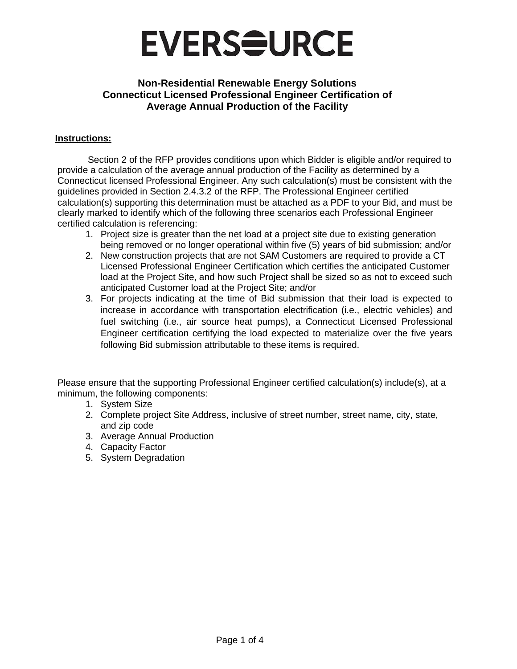

#### **Instructions:**

Section 2 of the RFP provides conditions upon which Bidder is eligible and/or required to provide a calculation of the average annual production of the Facility as determined by a Connecticut licensed Professional Engineer. Any such calculation(s) must be consistent with the guidelines provided in Section 2.4.3.2 of the RFP. The Professional Engineer certified calculation(s) supporting this determination must be attached as a PDF to your Bid, and must be clearly marked to identify which of the following three scenarios each Professional Engineer certified calculation is referencing:

- 1. Project size is greater than the net load at a project site due to existing generation being removed or no longer operational within five (5) years of bid submission; and/or
- 2. New construction projects that are not SAM Customers are required to provide a CT Licensed Professional Engineer Certification which certifies the anticipated Customer load at the Project Site, and how such Project shall be sized so as not to exceed such anticipated Customer load at the Project Site; and/or
- 3. For projects indicating at the time of Bid submission that their load is expected to increase in accordance with transportation electrification (i.e., electric vehicles) and fuel switching (i.e., air source heat pumps), a Connecticut Licensed Professional Engineer certification certifying the load expected to materialize over the five years following Bid submission attributable to these items is required.

Please ensure that the supporting Professional Engineer certified calculation(s) include(s), at a minimum, the following components:

- 1. System Size
- 2. Complete project Site Address, inclusive of street number, street name, city, state, and zip code
- 3. Average Annual Production
- 4. Capacity Factor
- 5. System Degradation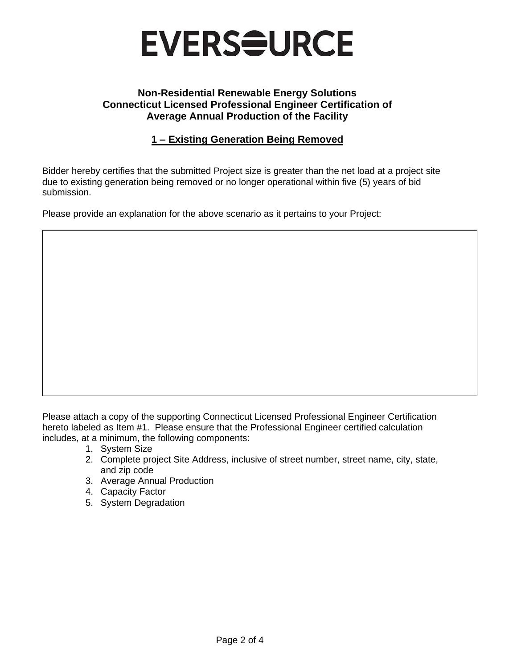

# **1 – Existing Generation Being Removed**

Bidder hereby certifies that the submitted Project size is greater than the net load at a project site due to existing generation being removed or no longer operational within five (5) years of bid submission.

Please provide an explanation for the above scenario as it pertains to your Project:

Please attach a copy of the supporting Connecticut Licensed Professional Engineer Certification hereto labeled as Item #1. Please ensure that the Professional Engineer certified calculation includes, at a minimum, the following components:

- 1. System Size
- 2. Complete project Site Address, inclusive of street number, street name, city, state, and zip code
- 3. Average Annual Production
- 4. Capacity Factor
- 5. System Degradation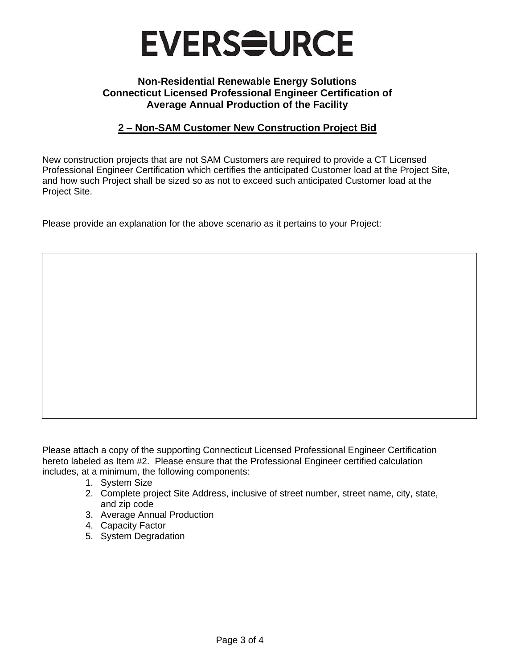

### **2 – Non-SAM Customer New Construction Project Bid**

New construction projects that are not SAM Customers are required to provide a CT Licensed Professional Engineer Certification which certifies the anticipated Customer load at the Project Site, and how such Project shall be sized so as not to exceed such anticipated Customer load at the Project Site.

Please provide an explanation for the above scenario as it pertains to your Project:

Please attach a copy of the supporting Connecticut Licensed Professional Engineer Certification hereto labeled as Item #2. Please ensure that the Professional Engineer certified calculation includes, at a minimum, the following components:

- 1. System Size
- 2. Complete project Site Address, inclusive of street number, street name, city, state, and zip code
- 3. Average Annual Production
- 4. Capacity Factor
- 5. System Degradation